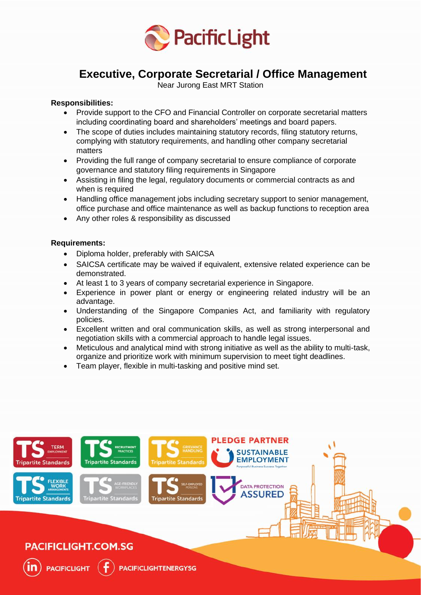

# **Executive, Corporate Secretarial / Office Management**

Near Jurong East MRT Station

## **Responsibilities:**

- Provide support to the CFO and Financial Controller on corporate secretarial matters including coordinating board and shareholders' meetings and board papers.
- The scope of duties includes maintaining statutory records, filing statutory returns, complying with statutory requirements, and handling other company secretarial matters
- Providing the full range of company secretarial to ensure compliance of corporate governance and statutory filing requirements in Singapore
- Assisting in filing the legal, regulatory documents or commercial contracts as and when is required
- Handling office management jobs including secretary support to senior management, office purchase and office maintenance as well as backup functions to reception area
- Any other roles & responsibility as discussed

## **Requirements:**

- Diploma holder, preferably with SAICSA
- SAICSA certificate may be waived if equivalent, extensive related experience can be demonstrated.
- At least 1 to 3 years of company secretarial experience in Singapore.
- Experience in power plant or energy or engineering related industry will be an advantage.
- Understanding of the Singapore Companies Act, and familiarity with regulatory policies.
- Excellent written and oral communication skills, as well as strong interpersonal and negotiation skills with a commercial approach to handle legal issues.
- Meticulous and analytical mind with strong initiative as well as the ability to multi-task, organize and prioritize work with minimum supervision to meet tight deadlines.
- Team player, flexible in multi-tasking and positive mind set.